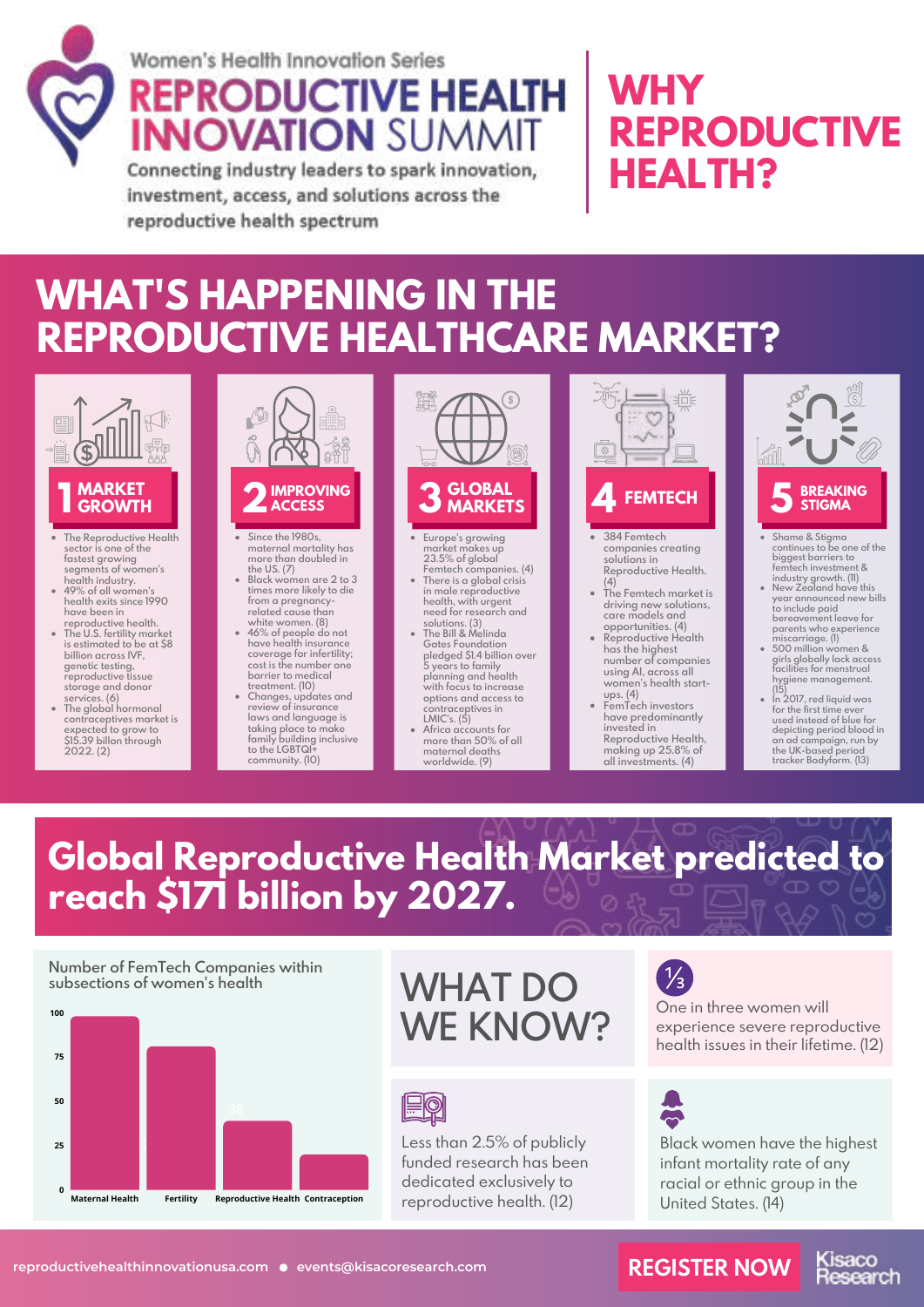

### Women's Health Innovation Series

**REPRODUCTIVE HEALTH INNOVATION SUMMIT** 

Connecting industry leaders to spark innovation. investment, access, and solutions across the reproductive health spectrum

# **WHY REPRODUCTIVE HEALTH?**

# **WHAT'S HAPPENING IN THE REPRODUCTIVE HEALTHCARE MARKET?**



### **GROWTH The Reproductive Health**

- **sector is one of the fastest growing segments of women's health industry.**
- **49% of all women's health exits since 1990 have been in reproductive health.**
- **The U.S. fertility market is estimated to be at \$8 billion across IVF, genetic testing, reproductive tissue storage and donor services. (6) The global hormonal**
- **contraceptives market is expected to grow to \$15.39 billon through 2022. (2)**



- **Since the 1980s, maternal mortality has more than doubled in the US. (7)**
- **Black women are 2 to 3 times more likely to die from a pregnancyrelated cause than**
- **white women. (8) 46% of people do not have health insurance coverage for infertility; cost is the number one barrier to medical treatment. (10)**
- **Changes, updates and review of insurance laws and language is taking place to make family building inclusive to the LGBTQI+ community. (10)**



- **Europe's growing market makes up 23.5% of global Femtech companies. (4) There is a global crisis in male reproductive health, with urgent**
- **need for research and solutions. (3) The Bill & Melinda Gates Foundation pledged \$1.4 billion over 5 years to family planning and health with focus to increase options and access to**
- **contraceptives in LMIC's. (5) Africa accounts for more than 50% of all maternal deaths worldwide. (9)**



- **384 Femtech companies creating solutions in Reproductive Health.**
- **(4) The Femtech market is driving new solutions, care models and opportunities. (4)**
- **Reproductive Health has the highest number of companies using AI, across all women's health start-ups. (4)**
- **FemTech investors have predominantly invested in Reproductive Health, making up 25.8% of all investments. (4)**



- **Shame & Stigma continues to be one of the biggest barriers to femtech investment &**
- **industry growth. (11) New Zealand have this year announced new bills to include paid bereavement leave for**
- **parents who experience miscarriage. (1) 500 million women & girls globally lack access facilities for menstrual hygiene management. (15)**
- **In 2017, red liquid was for the first time ever used instead of blue for depicting period blood in an ad campaign, run by the UK-based period tracker Bodyform. (13)**

# **Global Reproductive Health Market predicted to reach \$171 billion by 2027.**

**Number of FemTech Companies within subsections of women's health**



# **WHAT DO WE KNOW?**



Less than 2.5% of publicly funded research has been dedicated exclusively to reproductive health. (12)



One in three women will experience severe reproductive health issues in their lifetime. (12)



Black women have the highest infant mortality rate of any racial or ethnic group in the United States. (14)

Kisaco<br>Research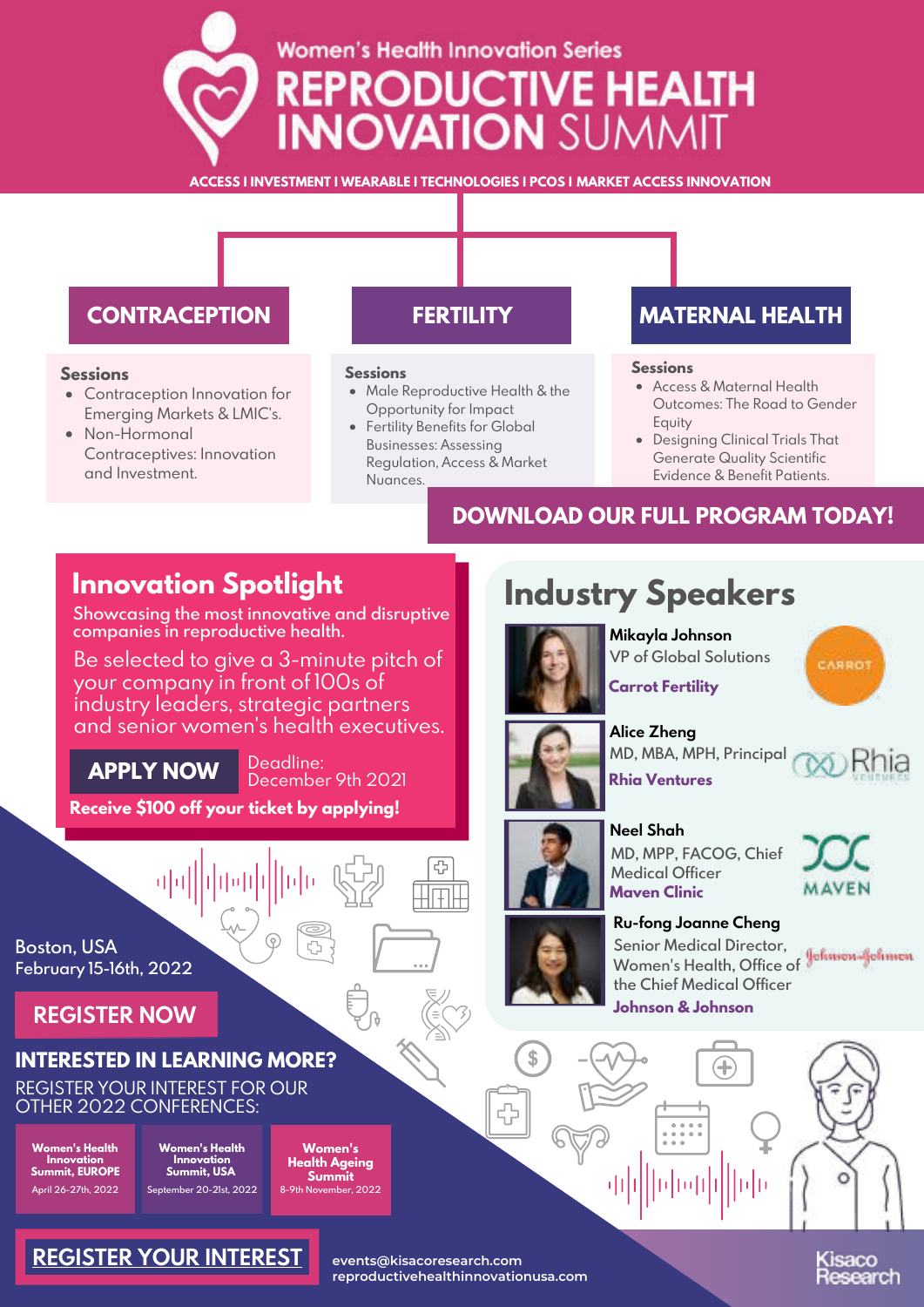## **Women's Health Innovation Series** EPRODUCTIVE HEALTH **NOVATION SUMMIT**

**ACCESS I INVESTMENT I WEARABLE I TECHNOLOGIES I PCOS I MARKET ACCESS INNOVATION**

### **Sessions**

- Contraception Innovation for Emerging Markets & LMIC's.
- Non-Hormonal Contraceptives: Innovation and Investment.

### **Sessions**

- Male Reproductive Health & the Opportunity for Impact
- Fertility Benefits for Global Businesses: Assessing Regulation, Access & Market Nuances.

### **CONTRACEPTION FERTILITY MATERNAL HEALTH**

### **Sessions**

- Access & Maternal Health Outcomes: The Road to Gender Equity
- Designing Clinical Trials That Generate Quality Scientific Evidence & Benefit Patients.

### **DOWNLOAD OUR FULL PROGRAM TODAY!**

### **Innovation Spotlight**

**Showcasing the most innovative and disruptive companies in reproductive health.**

Be selected to give a 3-minute pitch of your company in front of 100s of industry leaders, strategic partners and senior women's health executives.

**APPLY NOW**

Deadline: December 9th 2021

**Receive \$100 off your ticket by applying!**



### **[REGISTER](https://womenshealthinnovationusa.com/events/womens-health-innovation-summit-2022#register) YOUR INTEREST**

**[reproductivehealthinnovationusa.com](http://reproductivehealthinnovationusa.com/events/reproductive-health-innovation-summit) [events@kisacoresearch.com](mailto:events@kisacoresearch.com)**

\$

**Mikayla Johnson**

**VP of Global Solutions Carrot Fertility**





**Alice Zheng MD, MBA, MPH, Principal Rhia Ventures**







**AVEN** 

**Ru-fong Joanne Cheng Senior Medical Director, Women's Health, Office of the Chief Medical Officer Johnson & Johnson**



Jisaco .carch